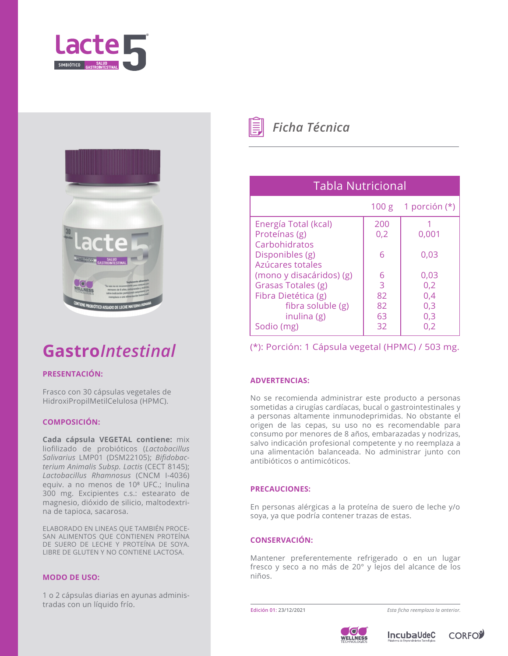



# **Gastro***Intestinal*

## **PRESENTACIÓN:**

Frasco con 30 cápsulas vegetales de HidroxiPropilMetilCelulosa (HPMC).

### **COMPOSICIÓN:**

**Cada cápsula VEGETAL contiene:** mix liofilizado de probióticos (*Lactobacillus Salivarius* LMP01 (DSM22105); *Bifidobacterium Animalis Subsp. Lactis* (CECT 8145); *Lactobacillus Rhamnosus* (CNCM I-4036) equiv. a no menos de 10<sup>8</sup> UFC.; Inulina 300 mg. Excipientes c.s.: estearato de magnesio, dióxido de silicio, maltodextrina de tapioca, sacarosa.

ELABORADO EN LINEAS QUE TAMBIÉN PROCE-SAN ALIMENTOS QUE CONTIENEN PROTEÍNA DE SUERO DE LECHE Y PROTEÍNA DE SOYA. LIBRE DE GLUTEN Y NO CONTIENE LACTOSA.

### **MODO DE USO:**

1 o 2 cápsulas diarias en ayunas administradas con un líquido frío.



*Ficha Técnica*

| <b>Tabla Nutricional</b> |     |                       |
|--------------------------|-----|-----------------------|
|                          |     | 100 g 1 porción $(*)$ |
| Energía Total (kcal)     | 200 |                       |
| Proteínas (g)            | 0,2 | 0,001                 |
| Carbohidratos            |     |                       |
| Disponibles (g)          | 6   | 0,03                  |
| Azúcares totales         |     |                       |
| (mono y disacáridos) (g) | 6   | 0,03                  |
| Grasas Totales (g)       | 3   | 0,2                   |
| Fibra Dietética (g)      | 82  | 0,4                   |
| fibra soluble (g)        | 82  | 0,3                   |
| inulina (g)              | 63  | 0,3                   |
| Sodio (mg)               | 32  | 0,2                   |

(\*): Porción: 1 Cápsula vegetal (HPMC) / 503 mg.

## **ADVERTENCIAS:**

No se recomienda administrar este producto a personas sometidas a cirugías cardíacas, bucal o gastrointestinales y a personas altamente inmunodeprimidas. No obstante el origen de las cepas, su uso no es recomendable para consumo por menores de 8 años, embarazadas y nodrizas, salvo indicación profesional competente y no reemplaza a una alimentación balanceada. No administrar junto con antibióticos o antimicóticos.

### **PRECAUCIONES:**

En personas alérgicas a la proteína de suero de leche y/o soya, ya que podría contener trazas de estas.

## **CONSERVACIÓN:**

Mantener preferentemente refrigerado o en un lugar fresco y seco a no más de 20° y lejos del alcance de los niños.

**Edición 01: 23/12/2021** *Esta ficha reemplaza la anterior.*